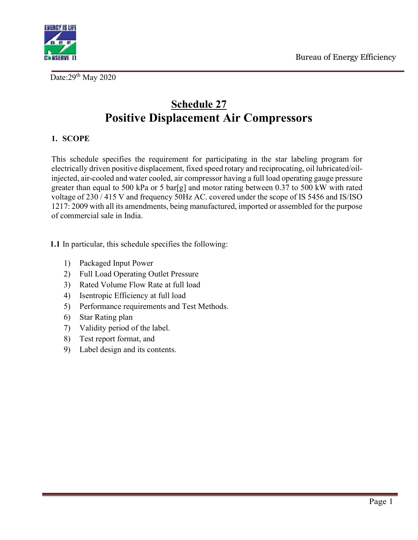

Date:29<sup>th</sup> May 2020

# Schedule 27 Positive Displacement Air Compressors

# 1. SCOPE

This schedule specifies the requirement for participating in the star labeling program for electrically driven positive displacement, fixed speed rotary and reciprocating, oil lubricated/oilinjected, air-cooled and water cooled, air compressor having a full load operating gauge pressure greater than equal to 500 kPa or 5 bar[g] and motor rating between 0.37 to 500 kW with rated voltage of 230 / 415 V and frequency 50Hz AC. covered under the scope of IS 5456 and IS/ISO 1217: 2009 with all its amendments, being manufactured, imported or assembled for the purpose of commercial sale in India.

1.1 In particular, this schedule specifies the following:

- 1) Packaged Input Power
- 2) Full Load Operating Outlet Pressure
- 3) Rated Volume Flow Rate at full load
- 4) Isentropic Efficiency at full load
- 5) Performance requirements and Test Methods.
- 6) Star Rating plan
- 7) Validity period of the label.
- 8) Test report format, and
- 9) Label design and its contents.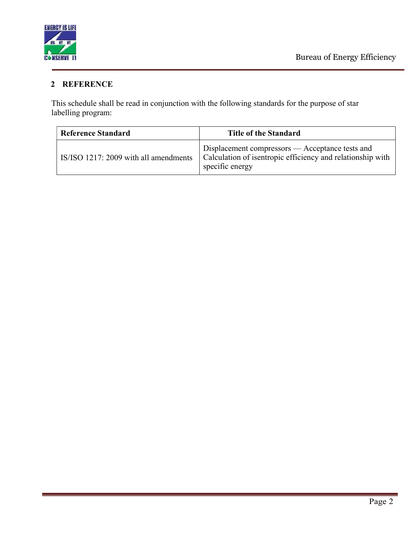

# 2 REFERENCE

This schedule shall be read in conjunction with the following standards for the purpose of star labelling program:

| <b>Reference Standard</b>             | <b>Title of the Standard</b>                                                                                                     |  |
|---------------------------------------|----------------------------------------------------------------------------------------------------------------------------------|--|
| IS/ISO 1217: 2009 with all amendments | Displacement compressors — Acceptance tests and<br>Calculation of isentropic efficiency and relationship with<br>specific energy |  |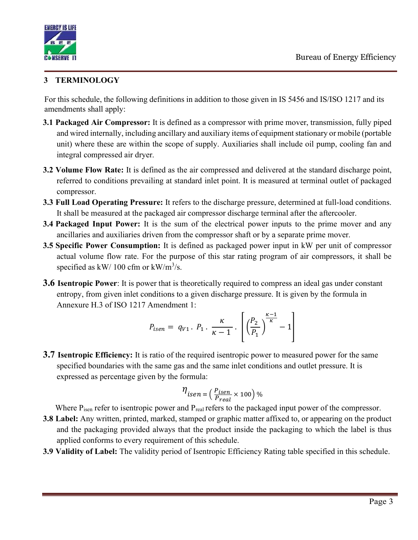

# 3 TERMINOLOGY

For this schedule, the following definitions in addition to those given in IS 5456 and IS/ISO 1217 and its amendments shall apply:

- **3.1 Packaged Air Compressor:** It is defined as a compressor with prime mover, transmission, fully piped and wired internally, including ancillary and auxiliary items of equipment stationary or mobile (portable unit) where these are within the scope of supply. Auxiliaries shall include oil pump, cooling fan and integral compressed air dryer.
- 3.2 Volume Flow Rate: It is defined as the air compressed and delivered at the standard discharge point, referred to conditions prevailing at standard inlet point. It is measured at terminal outlet of packaged compressor.
- 3.3 Full Load Operating Pressure: It refers to the discharge pressure, determined at full-load conditions. It shall be measured at the packaged air compressor discharge terminal after the aftercooler.
- 3.4 Packaged Input Power: It is the sum of the electrical power inputs to the prime mover and any ancillaries and auxiliaries driven from the compressor shaft or by a separate prime mover.
- 3.5 Specific Power Consumption: It is defined as packaged power input in kW per unit of compressor actual volume flow rate. For the purpose of this star rating program of air compressors, it shall be specified as  $kW/100$  cfm or  $kW/m^3/s$ .
- **3.6 Isentropic Power**: It is power that is theoretically required to compress an ideal gas under constant entropy, from given inlet conditions to a given discharge pressure. It is given by the formula in Annexure H.3 of ISO 1217 Amendment 1:

$$
P_{isen} = q_{V1} \cdot P_1 \cdot \frac{\kappa}{\kappa - 1} \cdot \left[ \left( \frac{P_2}{P_1} \right)^{\frac{\kappa - 1}{\kappa}} - 1 \right]
$$

**3.7 Isentropic Efficiency:** It is ratio of the required isentropic power to measured power for the same specified boundaries with the same gas and the same inlet conditions and outlet pressure. It is expressed as percentage given by the formula:

$$
\eta_{isen} = \left(\frac{P_{isen}}{P_{real}} \times 100\right) \%
$$

Where  $P_{\text{isen}}$  refer to isentropic power and  $P_{\text{real}}$  refers to the packaged input power of the compressor.

- 3.8 Label: Any written, printed, marked, stamped or graphic matter affixed to, or appearing on the product and the packaging provided always that the product inside the packaging to which the label is thus applied conforms to every requirement of this schedule.
- 3.9 Validity of Label: The validity period of Isentropic Efficiency Rating table specified in this schedule.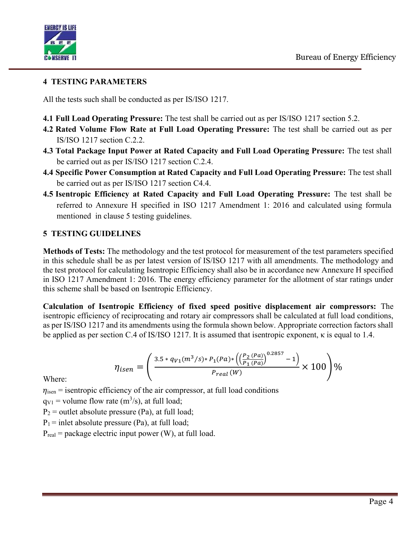

#### 4 TESTING PARAMETERS

All the tests such shall be conducted as per IS/ISO 1217.

- 4.1 Full Load Operating Pressure: The test shall be carried out as per IS/ISO 1217 section 5.2.
- 4.2 Rated Volume Flow Rate at Full Load Operating Pressure: The test shall be carried out as per IS/ISO 1217 section C.2.2.
- 4.3 Total Package Input Power at Rated Capacity and Full Load Operating Pressure: The test shall be carried out as per IS/ISO 1217 section C.2.4.
- 4.4 Specific Power Consumption at Rated Capacity and Full Load Operating Pressure: The test shall be carried out as per IS/ISO 1217 section C4.4.
- 4.5 Isentropic Efficiency at Rated Capacity and Full Load Operating Pressure: The test shall be referred to Annexure H specified in ISO 1217 Amendment 1: 2016 and calculated using formula mentioned in clause 5 testing guidelines.

#### 5 TESTING GUIDELINES

Methods of Tests: The methodology and the test protocol for measurement of the test parameters specified in this schedule shall be as per latest version of IS/ISO 1217 with all amendments. The methodology and the test protocol for calculating Isentropic Efficiency shall also be in accordance new Annexure H specified in ISO 1217 Amendment 1: 2016. The energy efficiency parameter for the allotment of star ratings under this scheme shall be based on Isentropic Efficiency.

Calculation of Isentropic Efficiency of fixed speed positive displacement air compressors: The isentropic efficiency of reciprocating and rotary air compressors shall be calculated at full load conditions, as per IS/ISO 1217 and its amendments using the formula shown below. Appropriate correction factors shall be applied as per section C.4 of IS/ISO 1217. It is assumed that isentropic exponent, κ is equal to 1.4.

$$
\eta_{isen} = \left(\frac{3.5 * q_{V1}(m^3/s) * P_1(Pa) * \left(\left(\frac{P_2(Pa)}{P_1(Pa)}\right)^{0.2857} - 1\right)}{P_{real}(W)} \times 100\right)\%
$$

Where:

 $\eta_{\rm isen}$  = isentropic efficiency of the air compressor, at full load conditions

 $qv_1 =$  volume flow rate  $(m^3/s)$ , at full load;

 $P_2$  = outlet absolute pressure (Pa), at full load;

 $P_1$  = inlet absolute pressure (Pa), at full load;

 $P_{\text{real}}$  = package electric input power (W), at full load.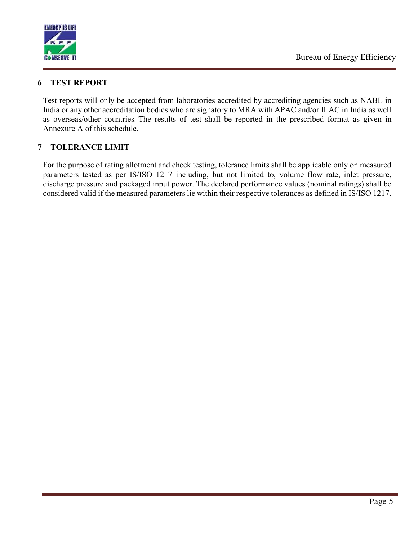

#### 6 TEST REPORT

Test reports will only be accepted from laboratories accredited by accrediting agencies such as NABL in India or any other accreditation bodies who are signatory to MRA with APAC and/or ILAC in India as well as overseas/other countries. The results of test shall be reported in the prescribed format as given in Annexure A of this schedule.

### 7 TOLERANCE LIMIT

For the purpose of rating allotment and check testing, tolerance limits shall be applicable only on measured parameters tested as per IS/ISO 1217 including, but not limited to, volume flow rate, inlet pressure, discharge pressure and packaged input power. The declared performance values (nominal ratings) shall be considered valid if the measured parameters lie within their respective tolerances as defined in IS/ISO 1217.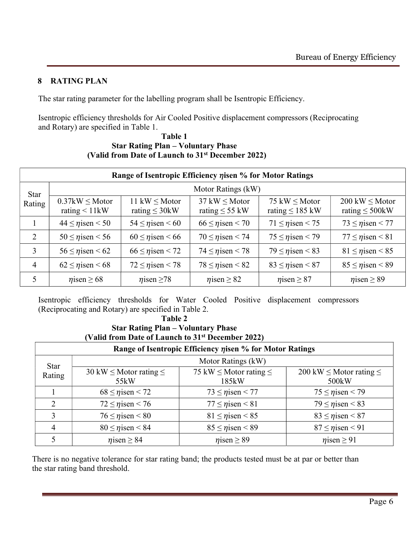### 8 RATING PLAN

The star rating parameter for the labelling program shall be Isentropic Efficiency.

Isentropic efficiency thresholds for Air Cooled Positive displacement compressors (Reciprocating and Rotary) are specified in Table 1.

| $\mathbf{v}$ and if only pate of Launch to $\mathbf{v}$ December 2022) |                                            |                                           |                                                          |                                            |                                                     |
|------------------------------------------------------------------------|--------------------------------------------|-------------------------------------------|----------------------------------------------------------|--------------------------------------------|-----------------------------------------------------|
| Range of Isentropic Efficiency <i>n</i> isen % for Motor Ratings       |                                            |                                           |                                                          |                                            |                                                     |
| <b>Star</b><br>Rating                                                  | Motor Ratings (kW)                         |                                           |                                                          |                                            |                                                     |
|                                                                        | $0.37$ kW $\leq$ Motor<br>rating $< 11$ kW | 11 kW $\leq$ Motor<br>rating $\leq 30$ kW | $37 \text{ kW} \leq \text{Motor}$<br>rating $\leq$ 55 kW | 75 kW $\leq$ Motor<br>rating $\leq 185$ kW | $200 \text{ kW} \leq M$ otor<br>rating $\leq$ 500kW |
| $\mathbf{1}$                                                           | $44 \leq$ <i>n</i> isen < 50               | $54 \leq \eta$ isen < 60                  | $66 \leq$ nisen < 70                                     | $71 \leq$ <i>n</i> isen < 75               | $73 \leq \eta$ isen < 77                            |
| 2                                                                      | $50 \leq \eta$ isen < 56                   | $60 \leq \eta$ isen < 66                  | $70 \leq \eta$ isen < 74                                 | $75 \leq$ nisen < 79                       | $77 \leq$ $\eta$ isen < 81                          |
| 3                                                                      | $56 \leq$ <i>n</i> isen < 62               | $66 \leq$ $\eta$ isen < 72                | $74 \leq \eta$ isen < 78                                 | $79 \leq$ nisen < 83                       | $81 \leq$ <i>n</i> isen < 85                        |
| 4                                                                      | $62 \leq$ nisen < 68                       | $72 \leq$ nisen < 78                      | $78 \leq \eta$ isen < 82                                 | $83 \leq$ nisen < 87                       | $85 \leq \eta$ isen < 89                            |
| 5                                                                      | $\eta$ isen $\geq 68$                      | $\eta$ isen $\geq$ 78                     | $\eta$ isen $\geq 82$                                    | $\eta$ isen $\geq 87$                      | $\eta$ isen $\geq$ 89                               |

Table 1 Star Rating Plan – Voluntary Phase (Valid from Date of Launch to 31st December 2022)

Isentropic efficiency thresholds for Water Cooled Positive displacement compressors (Reciprocating and Rotary) are specified in Table 2.

Table 2

#### Star Rating Plan – Voluntary Phase (Valid from Date of Launch to 31st December 2022)

| Range of Isentropic Efficiency nisen % for Motor Ratings |                                          |                                           |                                                         |  |
|----------------------------------------------------------|------------------------------------------|-------------------------------------------|---------------------------------------------------------|--|
| Star<br>Rating                                           | Motor Ratings (kW)                       |                                           |                                                         |  |
|                                                          | 30 kW $\leq$ Motor rating $\leq$<br>55kW | 75 kW $\leq$ Motor rating $\leq$<br>185kW | 200 kW $\leq$ Motor rating $\leq$<br>500 <sub>k</sub> W |  |
|                                                          | $68 \leq$ <i>n</i> isen < 72             | $73 \leq$ nisen < 77                      | $75 \leq$ <i>n</i> isen < 79                            |  |
|                                                          | $72 \leq$ $\eta$ isen < 76               | $77 \leq$ <i>n</i> isen < 81              | $79 \leq \eta$ isen < 83                                |  |
| 3                                                        | $76 \leq$ $\eta$ isen < 80               | $81 \leq$ <i>n</i> isen < 85              | $83 \leq \eta$ isen < 87                                |  |
| 4                                                        | $80 \leq \eta$ isen < 84                 | $85 \leq$ nisen < 89                      | $87 \leq$ <i>n</i> isen < 91                            |  |
|                                                          | $\eta$ isen $\geq 84$                    | $\eta$ isen $\geq$ 89                     | $\eta$ isen $\geq 91$                                   |  |

There is no negative tolerance for star rating band; the products tested must be at par or better than the star rating band threshold.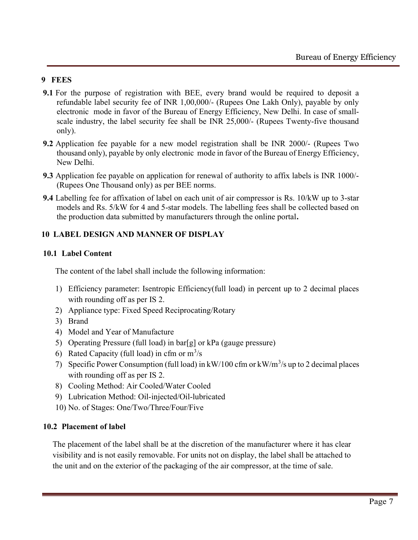#### 9 FEES

- 9.1 For the purpose of registration with BEE, every brand would be required to deposit a refundable label security fee of INR 1,00,000/- (Rupees One Lakh Only), payable by only electronic mode in favor of the Bureau of Energy Efficiency, New Delhi. In case of smallscale industry, the label security fee shall be INR 25,000/- (Rupees Twenty-five thousand only).
- 9.2 Application fee payable for a new model registration shall be INR 2000/- (Rupees Two thousand only), payable by only electronic mode in favor of the Bureau of Energy Efficiency, New Delhi.
- 9.3 Application fee payable on application for renewal of authority to affix labels is INR 1000/- (Rupees One Thousand only) as per BEE norms.
- 9.4 Labelling fee for affixation of label on each unit of air compressor is Rs. 10/kW up to 3-star models and Rs. 5/kW for 4 and 5-star models. The labelling fees shall be collected based on the production data submitted by manufacturers through the online portal.

### 10 LABEL DESIGN AND MANNER OF DISPLAY

#### 10.1 Label Content

The content of the label shall include the following information:

- 1) Efficiency parameter: Isentropic Efficiency(full load) in percent up to 2 decimal places with rounding off as per IS 2.
- 2) Appliance type: Fixed Speed Reciprocating/Rotary
- 3) Brand
- 4) Model and Year of Manufacture
- 5) Operating Pressure (full load) in bar[g] or kPa (gauge pressure)
- 6) Rated Capacity (full load) in cfm or  $m^3/s$
- 7) Specific Power Consumption (full load) in  $kW/100$  cfm or  $kW/m^3/s$  up to 2 decimal places with rounding off as per IS 2.
- 8) Cooling Method: Air Cooled/Water Cooled
- 9) Lubrication Method: Oil-injected/Oil-lubricated
- 10) No. of Stages: One/Two/Three/Four/Five

#### 10.2 Placement of label

The placement of the label shall be at the discretion of the manufacturer where it has clear visibility and is not easily removable. For units not on display, the label shall be attached to the unit and on the exterior of the packaging of the air compressor, at the time of sale.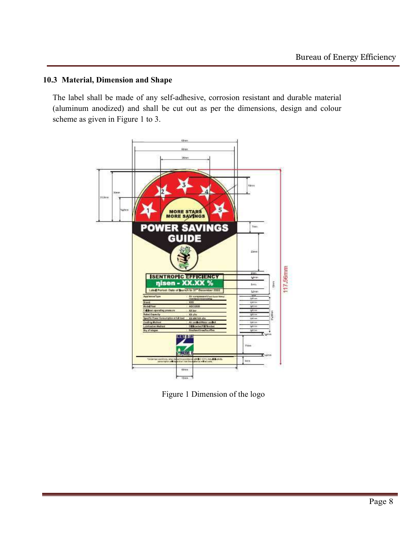### 10.3 Material, Dimension and Shape

The label shall be made of any self-adhesive, corrosion resistant and durable material (aluminum anodized) and shall be cut out as per the dimensions, design and colour scheme as given in Figure 1 to 3.



Figure 1 Dimension of the logo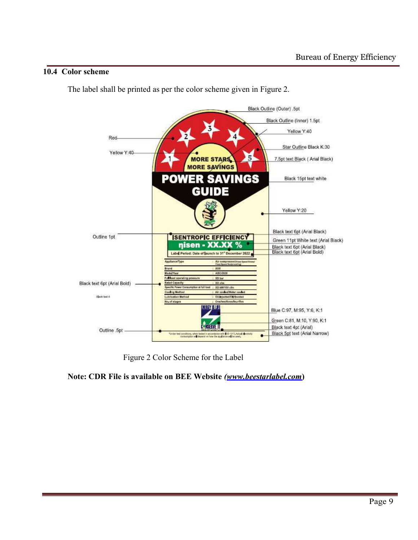#### 10.4 Color scheme

The label shall be printed as per the color scheme given in Figure 2.



Figure 2 Color Scheme for the Label

Note: CDR File is available on BEE Website (www.beestarlabel.com)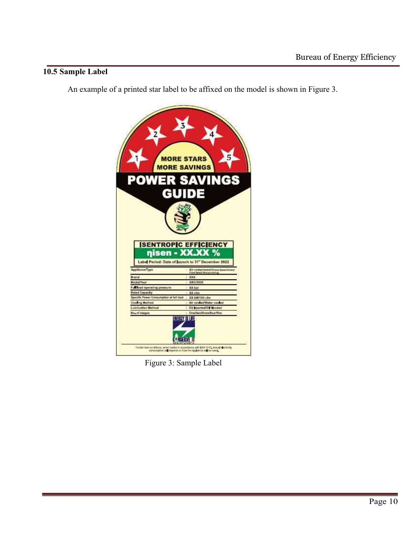### 10.5 Sample Label

An example of a printed star label to be affixed on the model is shown in Figure 3.



Figure 3: Sample Label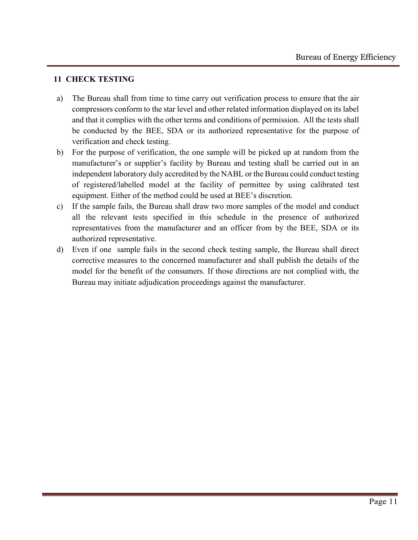#### 11 CHECK TESTING

- a) The Bureau shall from time to time carry out verification process to ensure that the air compressors conform to the star level and other related information displayed on its label and that it complies with the other terms and conditions of permission. All the tests shall be conducted by the BEE, SDA or its authorized representative for the purpose of verification and check testing.
- b) For the purpose of verification, the one sample will be picked up at random from the manufacturer's or supplier's facility by Bureau and testing shall be carried out in an independent laboratory duly accredited by the NABL or the Bureau could conduct testing of registered/labelled model at the facility of permittee by using calibrated test equipment. Either of the method could be used at BEE's discretion.
- c) If the sample fails, the Bureau shall draw two more samples of the model and conduct all the relevant tests specified in this schedule in the presence of authorized representatives from the manufacturer and an officer from by the BEE, SDA or its authorized representative.
- d) Even if one sample fails in the second check testing sample, the Bureau shall direct corrective measures to the concerned manufacturer and shall publish the details of the model for the benefit of the consumers. If those directions are not complied with, the Bureau may initiate adjudication proceedings against the manufacturer.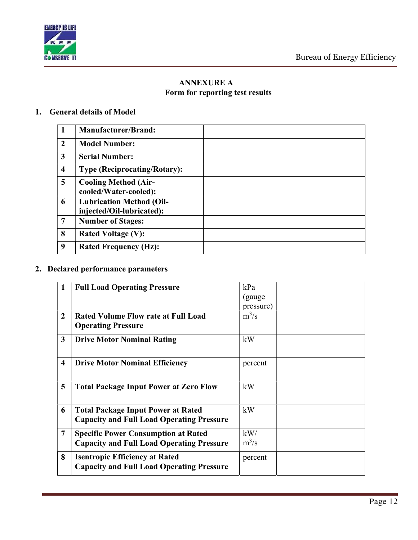

## ANNEXURE A Form for reporting test results

### 1. General details of Model

| -1                      | <b>Manufacturer/Brand:</b>                                   |
|-------------------------|--------------------------------------------------------------|
| $\overline{2}$          | <b>Model Number:</b>                                         |
| $\mathbf{3}$            | <b>Serial Number:</b>                                        |
| $\overline{\mathbf{4}}$ | <b>Type (Reciprocating/Rotary):</b>                          |
| 5                       | <b>Cooling Method (Air-</b><br>cooled/Water-cooled):         |
| 6                       | <b>Lubrication Method (Oil-</b><br>injected/Oil-lubricated): |
| $\overline{7}$          | <b>Number of Stages:</b>                                     |
| 8                       | <b>Rated Voltage (V):</b>                                    |
| 9                       | <b>Rated Frequency (Hz):</b>                                 |

# 2. Declared performance parameters

| 1              | <b>Full Load Operating Pressure</b>                                                           | kPa       |
|----------------|-----------------------------------------------------------------------------------------------|-----------|
|                |                                                                                               | (gauge    |
|                |                                                                                               | pressure) |
| $\overline{2}$ | <b>Rated Volume Flow rate at Full Load</b><br><b>Operating Pressure</b>                       | $m^3/s$   |
| $\mathbf{3}$   | <b>Drive Motor Nominal Rating</b>                                                             | kW        |
| 4              | <b>Drive Motor Nominal Efficiency</b>                                                         | percent   |
| 5              | <b>Total Package Input Power at Zero Flow</b>                                                 | kW        |
| 6              | <b>Total Package Input Power at Rated</b><br><b>Capacity and Full Load Operating Pressure</b> | kW        |
| 7              | <b>Specific Power Consumption at Rated</b>                                                    | kW/       |
|                | <b>Capacity and Full Load Operating Pressure</b>                                              | $m^3/s$   |
| 8              | <b>Isentropic Efficiency at Rated</b><br><b>Capacity and Full Load Operating Pressure</b>     | percent   |
|                |                                                                                               |           |